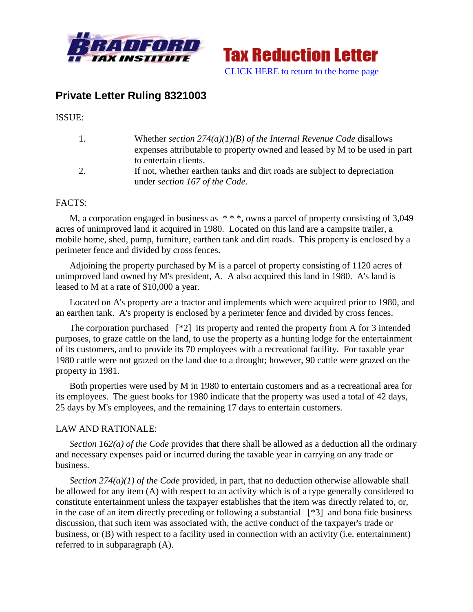



## **Private Letter Ruling 8321003**

ISSUE:

| 1. | Whether section $274(a)(1)(B)$ of the Internal Revenue Code disallows      |
|----|----------------------------------------------------------------------------|
|    | expenses attributable to property owned and leased by M to be used in part |
|    | to entertain clients.                                                      |
|    | If not, whether earthen tanks and dirt roads are subject to depreciation   |
|    | under section 167 of the Code.                                             |

## FACTS:

M, a corporation engaged in business as  $***$ , owns a parcel of property consisting of 3,049 acres of unimproved land it acquired in 1980. Located on this land are a campsite trailer, a mobile home, shed, pump, furniture, earthen tank and dirt roads. This property is enclosed by a perimeter fence and divided by cross fences.

Adjoining the property purchased by M is a parcel of property consisting of 1120 acres of unimproved land owned by M's president, A. A also acquired this land in 1980. A's land is leased to M at a rate of \$10,000 a year.

Located on A's property are a tractor and implements which were acquired prior to 1980, and an earthen tank. A's property is enclosed by a perimeter fence and divided by cross fences.

The corporation purchased  $[*2]$  its property and rented the property from A for 3 intended purposes, to graze cattle on the land, to use the property as a hunting lodge for the entertainment of its customers, and to provide its 70 employees with a recreational facility. For taxable year 1980 cattle were not grazed on the land due to a drought; however, 90 cattle were grazed on the property in 1981.

Both properties were used by M in 1980 to entertain customers and as a recreational area for its employees. The guest books for 1980 indicate that the property was used a total of 42 days, 25 days by M's employees, and the remaining 17 days to entertain customers.

## LAW AND RATIONALE:

*Section 162(a) of the Code* provides that there shall be allowed as a deduction all the ordinary and necessary expenses paid or incurred during the taxable year in carrying on any trade or business.

*Section 274(a)(1) of the Code* provided, in part, that no deduction otherwise allowable shall be allowed for any item (A) with respect to an activity which is of a type generally considered to constitute entertainment unless the taxpayer establishes that the item was directly related to, or, in the case of an item directly preceding or following a substantial [\*3] and bona fide business discussion, that such item was associated with, the active conduct of the taxpayer's trade or business, or (B) with respect to a facility used in connection with an activity (i.e. entertainment) referred to in subparagraph (A).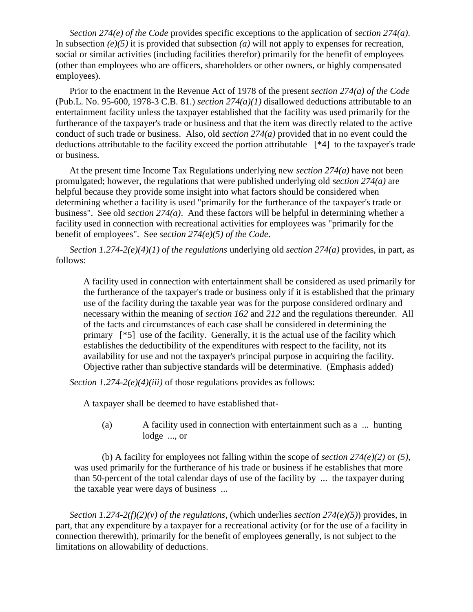*Section 274(e) of the Code* provides specific exceptions to the application of *section 274(a)*. In subsection *(e)(5)* it is provided that subsection *(a)* will not apply to expenses for recreation, social or similar activities (including facilities therefor) primarily for the benefit of employees (other than employees who are officers, shareholders or other owners, or highly compensated employees).

Prior to the enactment in the Revenue Act of 1978 of the present *section 274(a) of the Code* (Pub.L. No. 95-600, 1978-3 C.B. 81.) *section 274(a)(1)* disallowed deductions attributable to an entertainment facility unless the taxpayer established that the facility was used primarily for the furtherance of the taxpayer's trade or business and that the item was directly related to the active conduct of such trade or business. Also, old *section 274(a)* provided that in no event could the deductions attributable to the facility exceed the portion attributable [\*4] to the taxpayer's trade or business.

At the present time Income Tax Regulations underlying new *section 274(a)* have not been promulgated; however, the regulations that were published underlying old *section 274(a)* are helpful because they provide some insight into what factors should be considered when determining whether a facility is used "primarily for the furtherance of the taxpayer's trade or business". See old *section 274(a)*. And these factors will be helpful in determining whether a facility used in connection with recreational activities for employees was "primarily for the benefit of employees". See *section 274(e)(5) of the Code*.

*Section 1.274-2(e)(4)(1) of the regulations* underlying old *section 274(a)* provides, in part, as follows:

A facility used in connection with entertainment shall be considered as used primarily for the furtherance of the taxpayer's trade or business only if it is established that the primary use of the facility during the taxable year was for the purpose considered ordinary and necessary within the meaning of *section 162* and *212* and the regulations thereunder. All of the facts and circumstances of each case shall be considered in determining the primary [\*5] use of the facility. Generally, it is the actual use of the facility which establishes the deductibility of the expenditures with respect to the facility, not its availability for use and not the taxpayer's principal purpose in acquiring the facility. Objective rather than subjective standards will be determinative. (Emphasis added)

*Section 1.274-2(e)(4)(iii)* of those regulations provides as follows:

A taxpayer shall be deemed to have established that-

(a) A facility used in connection with entertainment such as a ... hunting lodge ..., or

(b) A facility for employees not falling within the scope of *section 274(e)(2)* or *(5)*, was used primarily for the furtherance of his trade or business if he establishes that more than 50-percent of the total calendar days of use of the facility by ... the taxpayer during the taxable year were days of business ...

*Section 1.274-2(f)(2)(v) of the regulations*, (which underlies *section 274(e)(5)*) provides, in part, that any expenditure by a taxpayer for a recreational activity (or for the use of a facility in connection therewith), primarily for the benefit of employees generally, is not subject to the limitations on allowability of deductions.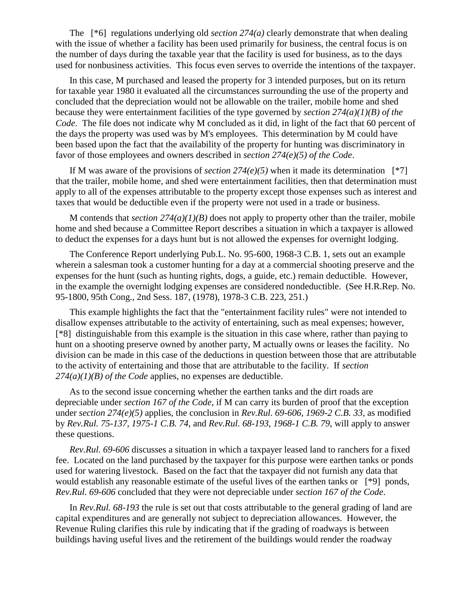The [\*6] regulations underlying old *section 274(a)* clearly demonstrate that when dealing with the issue of whether a facility has been used primarily for business, the central focus is on the number of days during the taxable year that the facility is used for business, as to the days used for nonbusiness activities. This focus even serves to override the intentions of the taxpayer.

In this case, M purchased and leased the property for 3 intended purposes, but on its return for taxable year 1980 it evaluated all the circumstances surrounding the use of the property and concluded that the depreciation would not be allowable on the trailer, mobile home and shed because they were entertainment facilities of the type governed by *section 274(a)(1)(B) of the Code*. The file does not indicate why M concluded as it did, in light of the fact that 60 percent of the days the property was used was by M's employees. This determination by M could have been based upon the fact that the availability of the property for hunting was discriminatory in favor of those employees and owners described in *section 274(e)(5) of the Code*.

If M was aware of the provisions of *section 274(e)(5)* when it made its determination  $[^*7]$ that the trailer, mobile home, and shed were entertainment facilities, then that determination must apply to all of the expenses attributable to the property except those expenses such as interest and taxes that would be deductible even if the property were not used in a trade or business.

M contends that *section*  $274(a)(1)(B)$  does not apply to property other than the trailer, mobile home and shed because a Committee Report describes a situation in which a taxpayer is allowed to deduct the expenses for a days hunt but is not allowed the expenses for overnight lodging.

The Conference Report underlying Pub.L. No. 95-600, 1968-3 C.B. 1, sets out an example wherein a salesman took a customer hunting for a day at a commercial shooting preserve and the expenses for the hunt (such as hunting rights, dogs, a guide, etc.) remain deductible. However, in the example the overnight lodging expenses are considered nondeductible. (See H.R.Rep. No. 95-1800, 95th Cong., 2nd Sess. 187, (1978), 1978-3 C.B. 223, 251.)

This example highlights the fact that the "entertainment facility rules" were not intended to disallow expenses attributable to the activity of entertaining, such as meal expenses; however, [\*8] distinguishable from this example is the situation in this case where, rather than paying to hunt on a shooting preserve owned by another party, M actually owns or leases the facility. No division can be made in this case of the deductions in question between those that are attributable to the activity of entertaining and those that are attributable to the facility. If *section 274(a)(1)(B) of the Code* applies, no expenses are deductible.

As to the second issue concerning whether the earthen tanks and the dirt roads are depreciable under *section 167 of the Code*, if M can carry its burden of proof that the exception under *section 274(e)(5)* applies, the conclusion in *Rev.Rul. 69-606, 1969-2 C.B. 33*, as modified by *Rev.Rul. 75-137, 1975-1 C.B. 74*, and *Rev.Rul. 68-193, 1968-1 C.B. 79*, will apply to answer these questions.

*Rev.Rul. 69-606* discusses a situation in which a taxpayer leased land to ranchers for a fixed fee. Located on the land purchased by the taxpayer for this purpose were earthen tanks or ponds used for watering livestock. Based on the fact that the taxpayer did not furnish any data that would establish any reasonable estimate of the useful lives of the earthen tanks or [\*9] ponds, *Rev.Rul. 69-606* concluded that they were not depreciable under *section 167 of the Code*.

In *Rev.Rul. 68-193* the rule is set out that costs attributable to the general grading of land are capital expenditures and are generally not subject to depreciation allowances. However, the Revenue Ruling clarifies this rule by indicating that if the grading of roadways is between buildings having useful lives and the retirement of the buildings would render the roadway